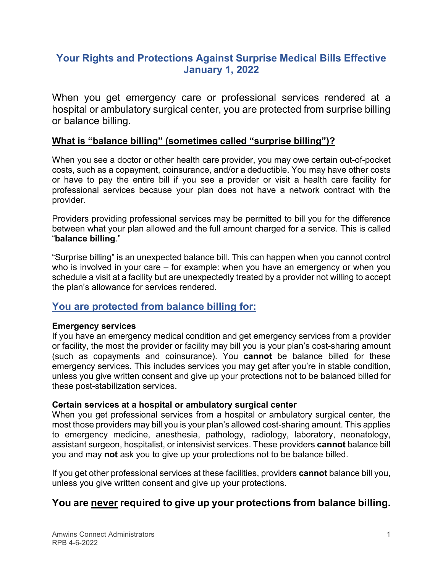# **Your Rights and Protections Against Surprise Medical Bills Effective January 1, 2022**

When you get emergency care or professional services rendered at a hospital or ambulatory surgical center, you are protected from surprise billing or balance billing.

### **What is "balance billing" (sometimes called "surprise billing")?**

When you see a doctor or other health care provider, you may owe certain out-of-pocket costs, such as a copayment, coinsurance, and/or a deductible. You may have other costs or have to pay the entire bill if you see a provider or visit a health care facility for professional services because your plan does not have a network contract with the provider.

Providers providing professional services may be permitted to bill you for the difference between what your plan allowed and the full amount charged for a service. This is called "**balance billing**."

"Surprise billing" is an unexpected balance bill. This can happen when you cannot control who is involved in your care – for example: when you have an emergency or when you schedule a visit at a facility but are unexpectedly treated by a provider not willing to accept the plan's allowance for services rendered.

## **You are protected from balance billing for:**

#### **Emergency services**

If you have an emergency medical condition and get emergency services from a provider or facility, the most the provider or facility may bill you is your plan's cost-sharing amount (such as copayments and coinsurance). You **cannot** be balance billed for these emergency services. This includes services you may get after you're in stable condition, unless you give written consent and give up your protections not to be balanced billed for these post-stabilization services.

#### **Certain services at a hospital or ambulatory surgical center**

When you get professional services from a hospital or ambulatory surgical center, the most those providers may bill you is your plan's allowed cost-sharing amount. This applies to emergency medicine, anesthesia, pathology, radiology, laboratory, neonatology, assistant surgeon, hospitalist, or intensivist services. These providers **cannot** balance bill you and may **not** ask you to give up your protections not to be balance billed.

If you get other professional services at these facilities, providers **cannot** balance bill you, unless you give written consent and give up your protections.

### **You are never required to give up your protections from balance billing.**